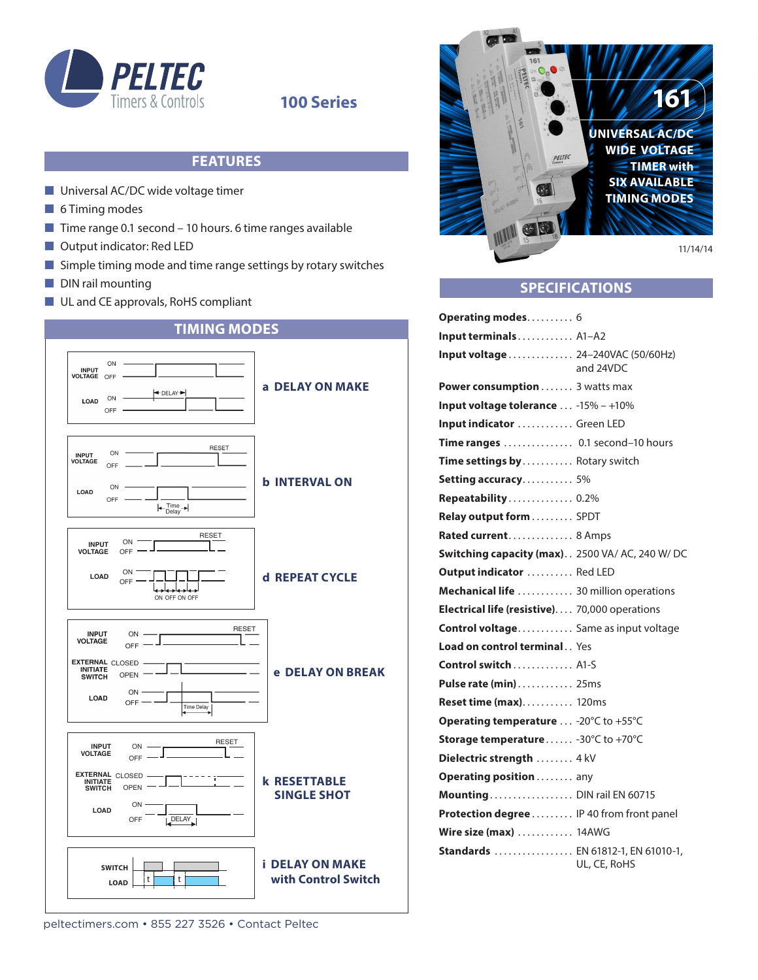

## **100 Series**

## **FEATURES**

- $\blacksquare$  Universal AC/DC wide voltage timer
- $\blacksquare$  6 Timing modes
- $\blacksquare$  Time range 0.1 second 10 hours. 6 time ranges available
- $\blacksquare$  Output indicator: Red LED
- $\blacksquare$  Simple timing mode and time range settings by rotary switches
- $\blacksquare$  DIN rail mounting
- **n** UL and CE approvals, RoHS compliant







## **SPECIFICATIONS**

| <b>Operating modes 6</b>                                 |
|----------------------------------------------------------|
| Input terminals A1-A2                                    |
| Input voltage  24-240VAC (50/60Hz)<br>and 24VDC          |
| Power consumption 3 watts max                            |
| Input voltage tolerance  -15% - +10%                     |
| Input indicator  Green LED                               |
| Time ranges  0.1 second-10 hours                         |
| Time settings by Rotary switch                           |
| <b>Setting accuracy</b> 5%                               |
| Repeatability 0.2%                                       |
| Relay output form SPDT                                   |
| Rated current 8 Amps                                     |
| Switching capacity (max) 2500 VA/ AC, 240 W/ DC          |
| Output indicator  Red LED                                |
| Mechanical life  30 million operations                   |
| Electrical life (resistive) 70,000 operations            |
| <b>Control voltage</b> Same as input voltage             |
| <b>Load on control terminal Yes</b>                      |
| <b>Control switch</b> A1-S                               |
| Pulse rate (min) 25ms                                    |
| <b>Reset time (max) 120ms</b>                            |
| Operating temperature  -20°C to +55°C                    |
| Storage temperature - 30°C to +70°C                      |
| Dielectric strength  4 kV                                |
| Operating position any                                   |
| Mounting DIN rail EN 60715                               |
| Protection degree IP 40 from front panel                 |
| Wire size $(max)$ 14AWG                                  |
| <b>Standards</b> EN 61812-1, EN 61010-1,<br>UL, CE, RoHS |